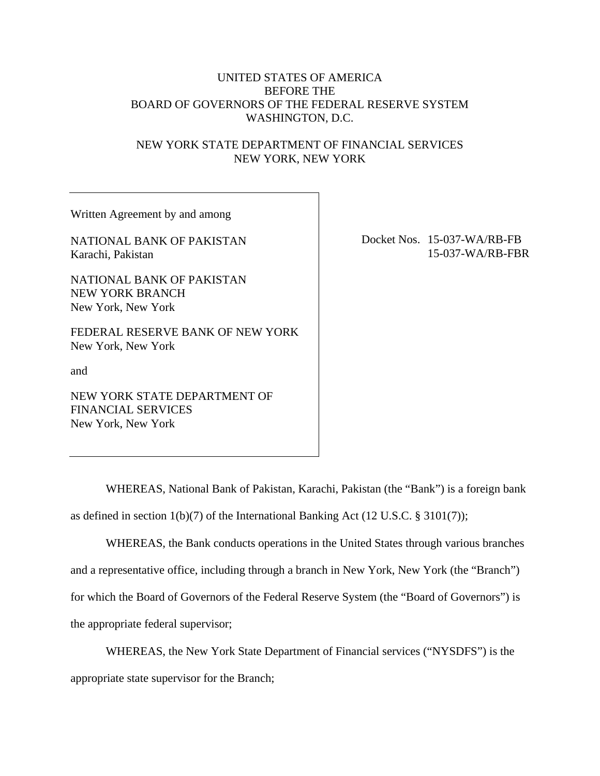### UNITED STATES OF AMERICA BEFORE THE BOARD OF GOVERNORS OF THE FEDERAL RESERVE SYSTEM WASHINGTON, D.C.

### NEW YORK STATE DEPARTMENT OF FINANCIAL SERVICES NEW YORK, NEW YORK

Written Agreement by and among

NATIONAL BANK OF PAKISTAN Karachi, Pakistan

NATIONAL BANK OF PAKISTAN NEW YORK BRANCH New York, New York

FEDERAL RESERVE BANK OF NEW YORK New York, New York

and

NEW YORK STATE DEPARTMENT OF FINANCIAL SERVICES New York, New York

Docket Nos. 15-037-WA/RB-FB 15-037-WA/RB-FBR

WHEREAS, National Bank of Pakistan, Karachi, Pakistan (the "Bank") is a foreign bank as defined in section 1(b)(7) of the International Banking Act (12 U.S.C. § 3101(7));

WHEREAS, the Bank conducts operations in the United States through various branches and a representative office, including through a branch in New York, New York (the "Branch") for which the Board of Governors of the Federal Reserve System (the "Board of Governors") is the appropriate federal supervisor;

WHEREAS, the New York State Department of Financial services ("NYSDFS") is the appropriate state supervisor for the Branch;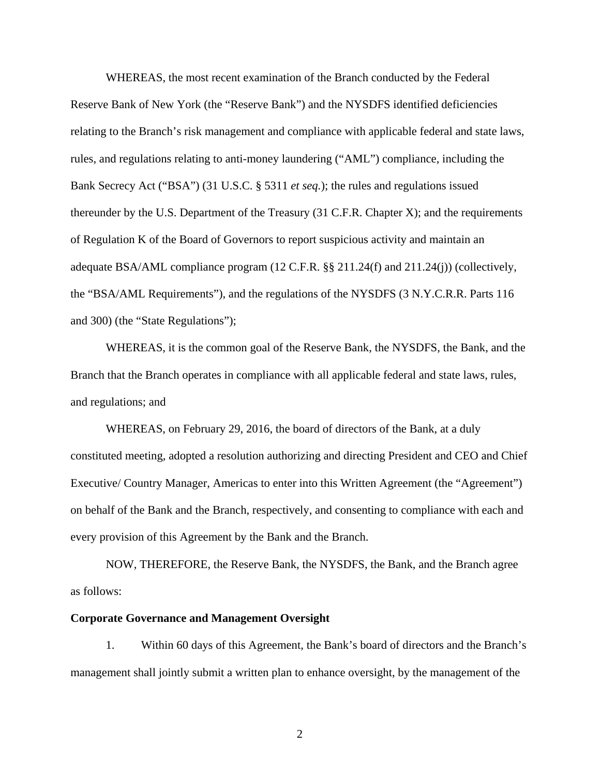WHEREAS, the most recent examination of the Branch conducted by the Federal Reserve Bank of New York (the "Reserve Bank") and the NYSDFS identified deficiencies relating to the Branch's risk management and compliance with applicable federal and state laws, rules, and regulations relating to anti-money laundering ("AML") compliance, including the Bank Secrecy Act ("BSA") (31 U.S.C. § 5311 *et seq.*); the rules and regulations issued thereunder by the U.S. Department of the Treasury (31 C.F.R. Chapter X); and the requirements of Regulation K of the Board of Governors to report suspicious activity and maintain an adequate BSA/AML compliance program (12 C.F.R. §§ 211.24(f) and 211.24(j)) (collectively, the "BSA/AML Requirements"), and the regulations of the NYSDFS (3 N.Y.C.R.R. Parts 116 and 300) (the "State Regulations");

WHEREAS, it is the common goal of the Reserve Bank, the NYSDFS, the Bank, and the Branch that the Branch operates in compliance with all applicable federal and state laws, rules, and regulations; and

WHEREAS, on February 29, 2016, the board of directors of the Bank, at a duly constituted meeting, adopted a resolution authorizing and directing President and CEO and Chief Executive/ Country Manager, Americas to enter into this Written Agreement (the "Agreement") on behalf of the Bank and the Branch, respectively, and consenting to compliance with each and every provision of this Agreement by the Bank and the Branch.

NOW, THEREFORE, the Reserve Bank, the NYSDFS, the Bank, and the Branch agree as follows:

#### **Corporate Governance and Management Oversight**

1. Within 60 days of this Agreement, the Bank's board of directors and the Branch's management shall jointly submit a written plan to enhance oversight, by the management of the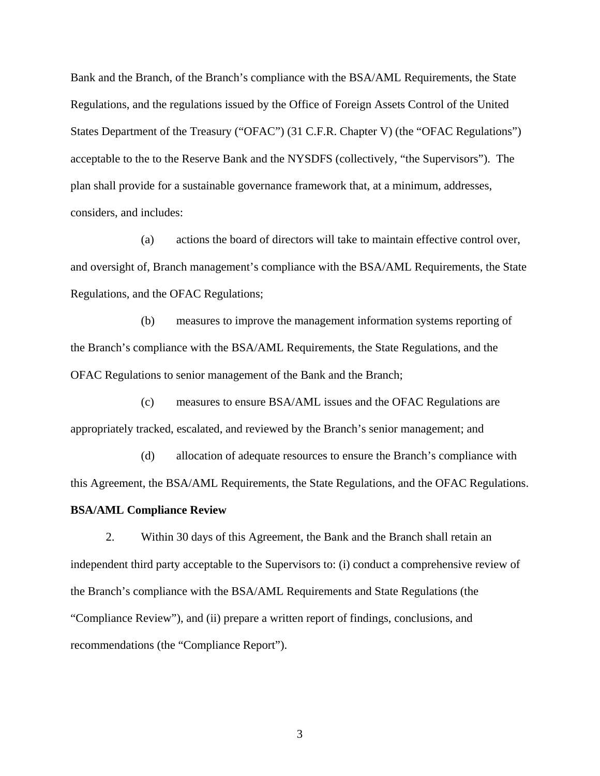Bank and the Branch, of the Branch's compliance with the BSA/AML Requirements, the State Regulations, and the regulations issued by the Office of Foreign Assets Control of the United States Department of the Treasury ("OFAC") (31 C.F.R. Chapter V) (the "OFAC Regulations") acceptable to the to the Reserve Bank and the NYSDFS (collectively, "the Supervisors"). The plan shall provide for a sustainable governance framework that, at a minimum, addresses, considers, and includes:

(a) actions the board of directors will take to maintain effective control over, and oversight of, Branch management's compliance with the BSA/AML Requirements, the State Regulations, and the OFAC Regulations;

(b) measures to improve the management information systems reporting of the Branch's compliance with the BSA/AML Requirements, the State Regulations, and the OFAC Regulations to senior management of the Bank and the Branch;

(c) measures to ensure BSA/AML issues and the OFAC Regulations are appropriately tracked, escalated, and reviewed by the Branch's senior management; and

(d) allocation of adequate resources to ensure the Branch's compliance with this Agreement, the BSA/AML Requirements, the State Regulations, and the OFAC Regulations. **BSA/AML Compliance Review** 

2. Within 30 days of this Agreement, the Bank and the Branch shall retain an independent third party acceptable to the Supervisors to: (i) conduct a comprehensive review of the Branch's compliance with the BSA/AML Requirements and State Regulations (the "Compliance Review"), and (ii) prepare a written report of findings, conclusions, and recommendations (the "Compliance Report").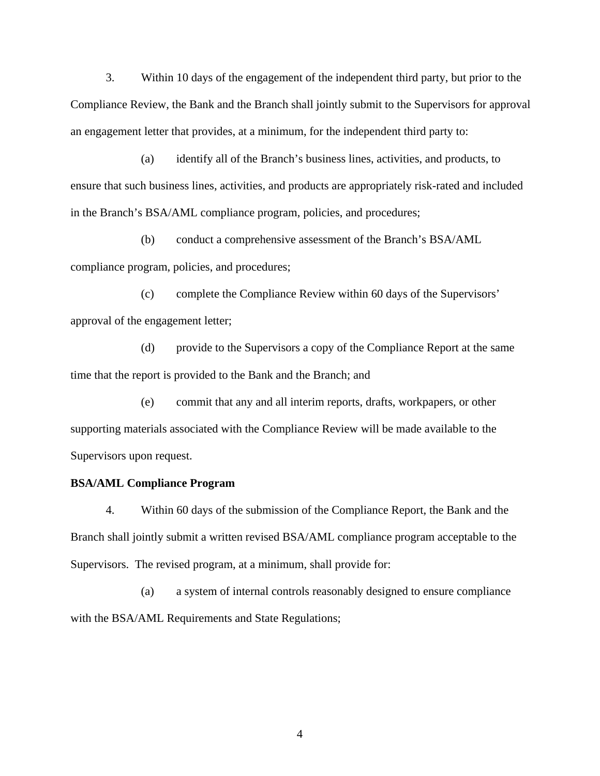3. Within 10 days of the engagement of the independent third party, but prior to the Compliance Review, the Bank and the Branch shall jointly submit to the Supervisors for approval an engagement letter that provides, at a minimum, for the independent third party to:

(a) identify all of the Branch's business lines, activities, and products, to ensure that such business lines, activities, and products are appropriately risk-rated and included in the Branch's BSA/AML compliance program, policies, and procedures;

(b) conduct a comprehensive assessment of the Branch's BSA/AML compliance program, policies, and procedures;

(c) complete the Compliance Review within 60 days of the Supervisors' approval of the engagement letter;

(d) provide to the Supervisors a copy of the Compliance Report at the same time that the report is provided to the Bank and the Branch; and

(e) commit that any and all interim reports, drafts, workpapers, or other supporting materials associated with the Compliance Review will be made available to the Supervisors upon request.

#### **BSA/AML Compliance Program**

4. Within 60 days of the submission of the Compliance Report, the Bank and the Branch shall jointly submit a written revised BSA/AML compliance program acceptable to the Supervisors. The revised program, at a minimum, shall provide for:

(a) a system of internal controls reasonably designed to ensure compliance with the BSA/AML Requirements and State Regulations;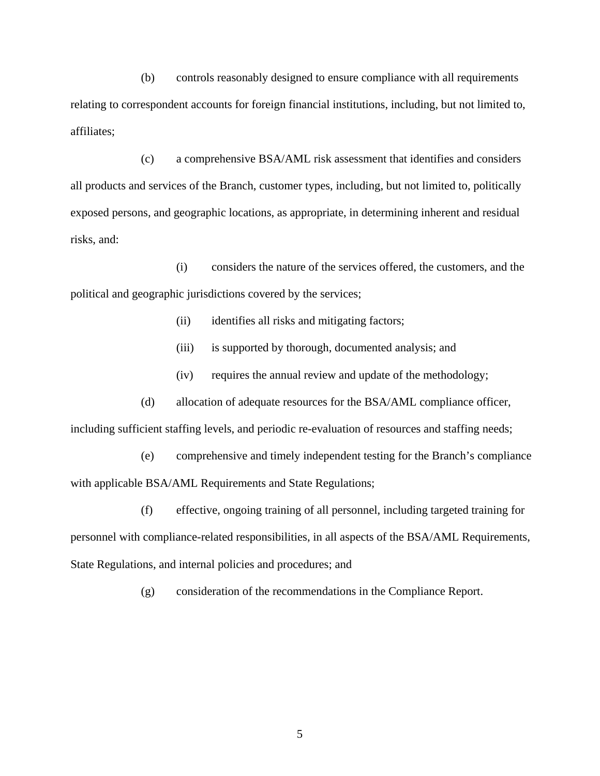(b) controls reasonably designed to ensure compliance with all requirements relating to correspondent accounts for foreign financial institutions, including, but not limited to, affiliates;

(c) a comprehensive BSA/AML risk assessment that identifies and considers all products and services of the Branch, customer types, including, but not limited to, politically exposed persons, and geographic locations, as appropriate, in determining inherent and residual risks, and:

(i) considers the nature of the services offered, the customers, and the political and geographic jurisdictions covered by the services;

- (ii) identifies all risks and mitigating factors;
- (iii) is supported by thorough, documented analysis; and
- (iv) requires the annual review and update of the methodology;
- (d) allocation of adequate resources for the BSA/AML compliance officer,

including sufficient staffing levels, and periodic re-evaluation of resources and staffing needs;

(e) comprehensive and timely independent testing for the Branch's compliance with applicable BSA/AML Requirements and State Regulations;

(f) effective, ongoing training of all personnel, including targeted training for personnel with compliance-related responsibilities, in all aspects of the BSA/AML Requirements, State Regulations, and internal policies and procedures; and

(g) consideration of the recommendations in the Compliance Report.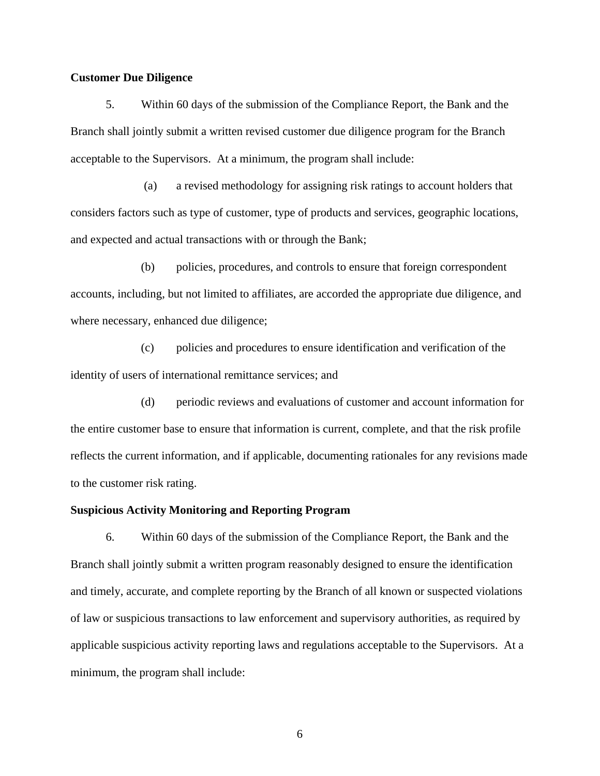#### **Customer Due Diligence**

5. Within 60 days of the submission of the Compliance Report, the Bank and the Branch shall jointly submit a written revised customer due diligence program for the Branch acceptable to the Supervisors. At a minimum, the program shall include:

(a) a revised methodology for assigning risk ratings to account holders that considers factors such as type of customer, type of products and services, geographic locations, and expected and actual transactions with or through the Bank;

(b) policies, procedures, and controls to ensure that foreign correspondent accounts, including, but not limited to affiliates, are accorded the appropriate due diligence, and where necessary, enhanced due diligence;

(c) policies and procedures to ensure identification and verification of the identity of users of international remittance services; and

(d) periodic reviews and evaluations of customer and account information for the entire customer base to ensure that information is current, complete, and that the risk profile reflects the current information, and if applicable, documenting rationales for any revisions made to the customer risk rating.

#### **Suspicious Activity Monitoring and Reporting Program**

6. Within 60 days of the submission of the Compliance Report, the Bank and the Branch shall jointly submit a written program reasonably designed to ensure the identification and timely, accurate, and complete reporting by the Branch of all known or suspected violations of law or suspicious transactions to law enforcement and supervisory authorities, as required by applicable suspicious activity reporting laws and regulations acceptable to the Supervisors. At a minimum, the program shall include: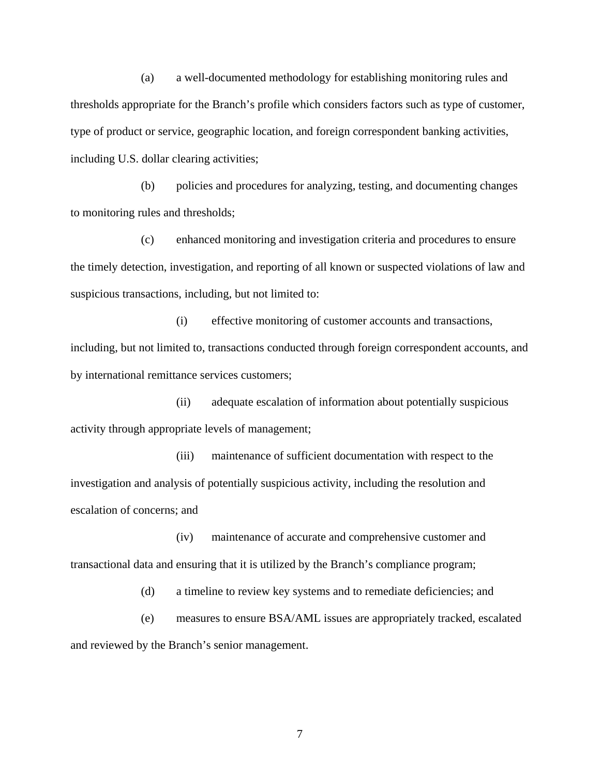(a) a well-documented methodology for establishing monitoring rules and thresholds appropriate for the Branch's profile which considers factors such as type of customer, type of product or service, geographic location, and foreign correspondent banking activities, including U.S. dollar clearing activities;

(b) policies and procedures for analyzing, testing, and documenting changes to monitoring rules and thresholds;

(c) enhanced monitoring and investigation criteria and procedures to ensure the timely detection, investigation, and reporting of all known or suspected violations of law and suspicious transactions, including, but not limited to:

(i) effective monitoring of customer accounts and transactions, including, but not limited to, transactions conducted through foreign correspondent accounts, and by international remittance services customers;

(ii) adequate escalation of information about potentially suspicious activity through appropriate levels of management;

(iii) maintenance of sufficient documentation with respect to the investigation and analysis of potentially suspicious activity, including the resolution and escalation of concerns; and

(iv) maintenance of accurate and comprehensive customer and transactional data and ensuring that it is utilized by the Branch's compliance program;

(d) a timeline to review key systems and to remediate deficiencies; and

(e) measures to ensure BSA/AML issues are appropriately tracked, escalated and reviewed by the Branch's senior management.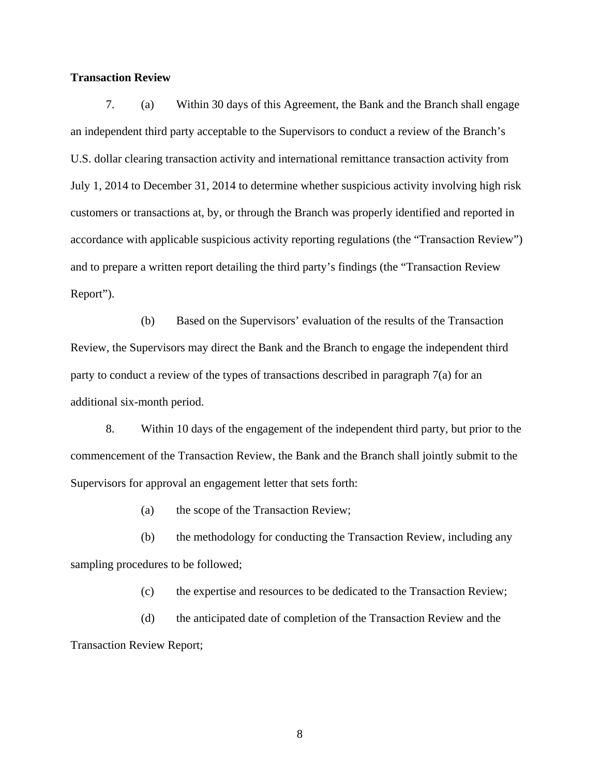#### **Transaction Review**

7. (a) Within 30 days of this Agreement, the Bank and the Branch shall engage an independent third party acceptable to the Supervisors to conduct a review of the Branch's U.S. dollar clearing transaction activity and international remittance transaction activity from July 1, 2014 to December 31, 2014 to determine whether suspicious activity involving high risk customers or transactions at, by, or through the Branch was properly identified and reported in accordance with applicable suspicious activity reporting regulations (the "Transaction Review") and to prepare a written report detailing the third party's findings (the "Transaction Review Report").

(b) Based on the Supervisors' evaluation of the results of the Transaction Review, the Supervisors may direct the Bank and the Branch to engage the independent third party to conduct a review of the types of transactions described in paragraph 7(a) for an additional six-month period.

8. Within 10 days of the engagement of the independent third party, but prior to the commencement of the Transaction Review, the Bank and the Branch shall jointly submit to the Supervisors for approval an engagement letter that sets forth:

(a) the scope of the Transaction Review;

(b) the methodology for conducting the Transaction Review, including any sampling procedures to be followed;

(c) the expertise and resources to be dedicated to the Transaction Review;

(d) the anticipated date of completion of the Transaction Review and the Transaction Review Report;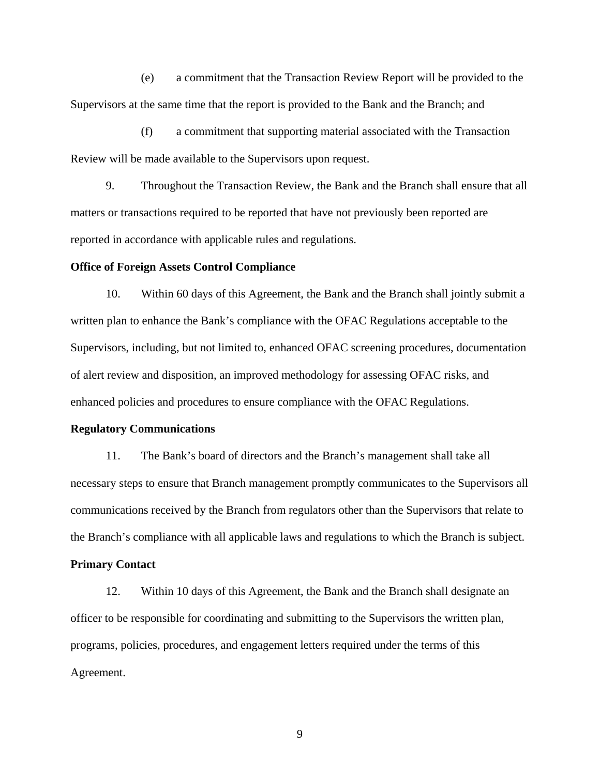(e) a commitment that the Transaction Review Report will be provided to the Supervisors at the same time that the report is provided to the Bank and the Branch; and

(f) a commitment that supporting material associated with the Transaction Review will be made available to the Supervisors upon request.

9. Throughout the Transaction Review, the Bank and the Branch shall ensure that all matters or transactions required to be reported that have not previously been reported are reported in accordance with applicable rules and regulations.

#### **Office of Foreign Assets Control Compliance**

10. Within 60 days of this Agreement, the Bank and the Branch shall jointly submit a written plan to enhance the Bank's compliance with the OFAC Regulations acceptable to the Supervisors, including, but not limited to, enhanced OFAC screening procedures, documentation of alert review and disposition, an improved methodology for assessing OFAC risks, and enhanced policies and procedures to ensure compliance with the OFAC Regulations.

#### **Regulatory Communications**

11. The Bank's board of directors and the Branch's management shall take all necessary steps to ensure that Branch management promptly communicates to the Supervisors all communications received by the Branch from regulators other than the Supervisors that relate to the Branch's compliance with all applicable laws and regulations to which the Branch is subject.

#### **Primary Contact**

12. Within 10 days of this Agreement, the Bank and the Branch shall designate an officer to be responsible for coordinating and submitting to the Supervisors the written plan, programs, policies, procedures, and engagement letters required under the terms of this Agreement.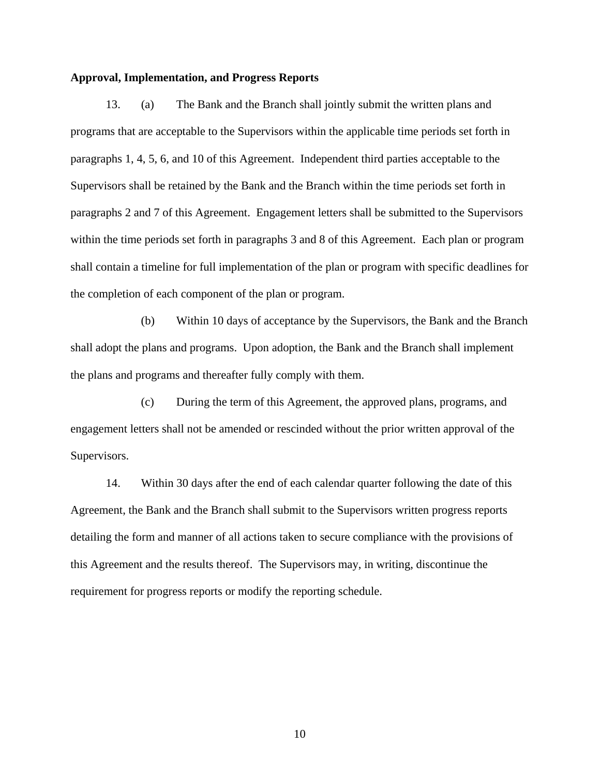#### **Approval, Implementation, and Progress Reports**

13. (a) The Bank and the Branch shall jointly submit the written plans and programs that are acceptable to the Supervisors within the applicable time periods set forth in paragraphs 1, 4, 5, 6, and 10 of this Agreement. Independent third parties acceptable to the Supervisors shall be retained by the Bank and the Branch within the time periods set forth in paragraphs 2 and 7 of this Agreement. Engagement letters shall be submitted to the Supervisors within the time periods set forth in paragraphs 3 and 8 of this Agreement. Each plan or program shall contain a timeline for full implementation of the plan or program with specific deadlines for the completion of each component of the plan or program.

(b) Within 10 days of acceptance by the Supervisors, the Bank and the Branch shall adopt the plans and programs. Upon adoption, the Bank and the Branch shall implement the plans and programs and thereafter fully comply with them.

(c) During the term of this Agreement, the approved plans, programs, and engagement letters shall not be amended or rescinded without the prior written approval of the Supervisors.

14. Within 30 days after the end of each calendar quarter following the date of this Agreement, the Bank and the Branch shall submit to the Supervisors written progress reports detailing the form and manner of all actions taken to secure compliance with the provisions of this Agreement and the results thereof. The Supervisors may, in writing, discontinue the requirement for progress reports or modify the reporting schedule.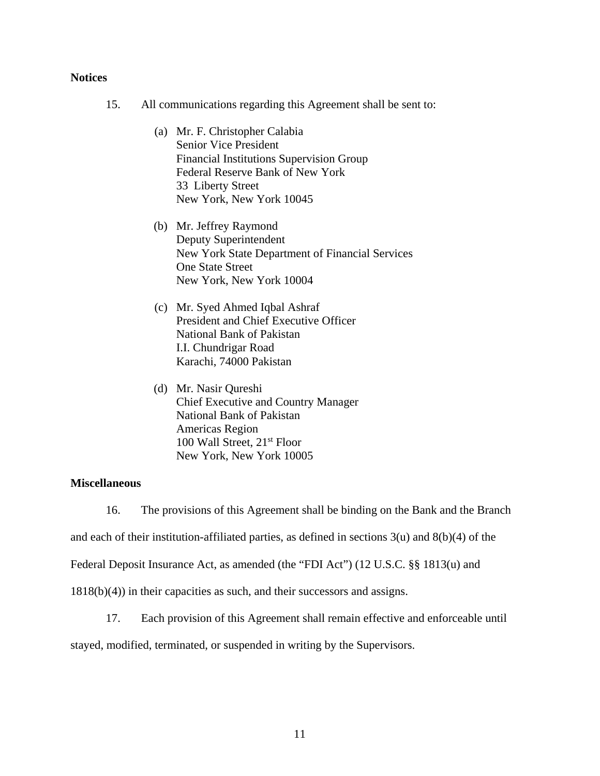#### **Notices**

- 15. All communications regarding this Agreement shall be sent to:
	- (a) Mr. F. Christopher Calabia Senior Vice President Financial Institutions Supervision Group Federal Reserve Bank of New York 33 Liberty Street New York, New York 10045
	- (b) Mr. Jeffrey Raymond Deputy Superintendent New York State Department of Financial Services One State Street New York, New York 10004
	- (c) Mr. Syed Ahmed Iqbal Ashraf President and Chief Executive Officer National Bank of Pakistan I.I. Chundrigar Road Karachi, 74000 Pakistan
	- (d) Mr. Nasir Qureshi Chief Executive and Country Manager National Bank of Pakistan Americas Region 100 Wall Street, 21<sup>st</sup> Floor New York, New York 10005

#### **Miscellaneous**

16. The provisions of this Agreement shall be binding on the Bank and the Branch

and each of their institution-affiliated parties, as defined in sections  $3(u)$  and  $8(b)(4)$  of the

Federal Deposit Insurance Act, as amended (the "FDI Act") (12 U.S.C. §§ 1813(u) and

1818(b)(4)) in their capacities as such, and their successors and assigns.

17. Each provision of this Agreement shall remain effective and enforceable until

stayed, modified, terminated, or suspended in writing by the Supervisors.